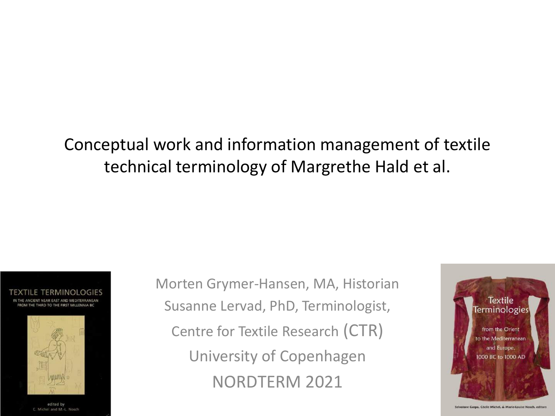#### Conceptual work and information management of textile technical terminology of Margrethe Hald et al.





edited by C. Michel and M.-L. Nosch Morten Grymer-Hansen, MA, Historian Susanne Lervad, PhD, Terminologist, Centre for Textile Research (CTR) University of Copenhagen NORDTERM 2021



Salvatore Gaspa, Cécile Michel, & Marie-Louise Nosch, editor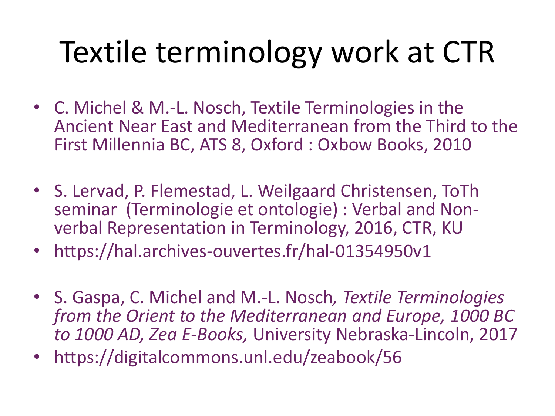# Textile terminology work at CTR

- C. Michel & M.-L. Nosch, Textile Terminologies in the Ancient Near East and Mediterranean from the Third to the First Millennia BC, ATS 8, Oxford : Oxbow Books, 2010
- S. Lervad, P. Flemestad, L. Weilgaard Christensen, ToTh seminar (Terminologie et ontologie) : Verbal and Nonverbal Representation in Terminology, 2016, CTR, KU
- https://hal.archives-ouvertes.fr/hal-01354950v1
- S. Gaspa, C. Michel and M.-L. Nosch*, Textile Terminologies from the Orient to the Mediterranean and Europe, 1000 BC to 1000 AD, Zea E-Books,* University Nebraska-Lincoln, 2017
- https://digitalcommons.unl.edu/zeabook/56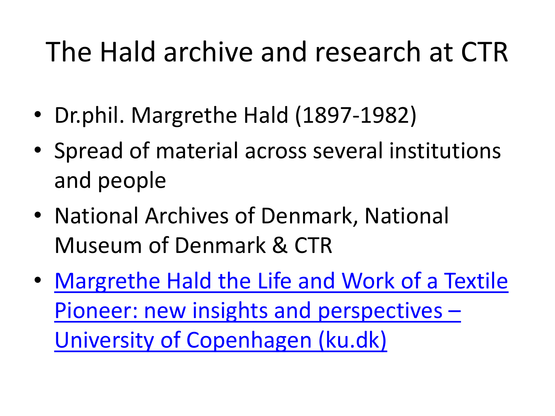#### The Hald archive and research at CTR

- Dr.phil. Margrethe Hald (1897-1982)
- Spread of material across several institutions and people
- National Archives of Denmark, National Museum of Denmark & CTR
- Margrethe Hald the Life and Work of a Textile [Pioneer: new insights and perspectives](https://ctr.hum.ku.dk/research-programmes-and-projects/margrethe-hald/) – University of Copenhagen (ku.dk)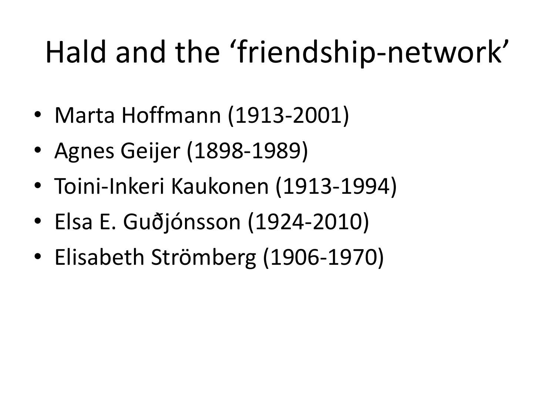# Hald and the 'friendship-network'

- Marta Hoffmann (1913-2001)
- Agnes Geijer (1898-1989)
- Toini-Inkeri Kaukonen (1913-1994)
- Elsa E. Guðjónsson (1924-2010)
- Elisabeth Strömberg (1906-1970)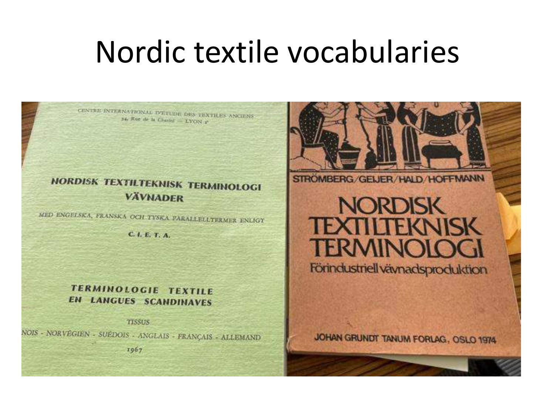#### Nordic textile vocabularies

CENTRE INTERNATIONAL D'ETUDE DES TEXTILES ANCHENS 34. Rue de la Ghatiel - LVON P **NORDISK TEXTILTEKNISK TERMINOLOGI VÄVNADER** 

MED ENGELSKA, FRANSKA OCH TYSKA PARALLELLTERMER ENLIGT

C. I. E. T. A.

#### **TERMINOLOGIE TEXTILE EN LANGUES SCANDINAVES**

**TISSUS** NOIS - NORVEGIEN - SUÉDOIS - ANGLAIS - FRANÇAIS - ALLEMAND  $1067$ 



STROMBERG/GEIJER/HALD/HOFFMANN

#### **NORDISK TEXTILTEKNISK TERMINOI**

Förindustriell vävnadsproduktion

JOHAN GRUNDT TANUM FORLAG, OSLO 1974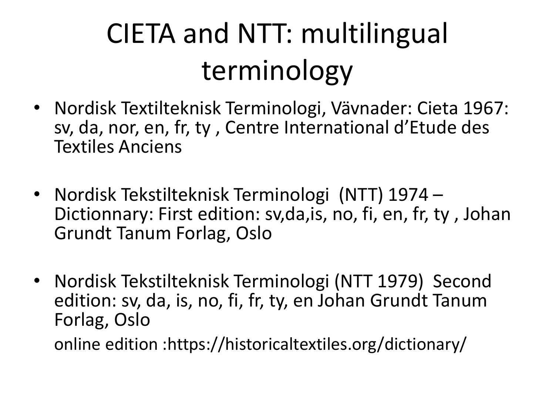## CIETA and NTT: multilingual terminology

- Nordisk Textilteknisk Terminologi, Vävnader: Cieta 1967: sv, da, nor, en, fr, ty , Centre International d'Etude des Textiles Anciens
- Nordisk Tekstilteknisk Terminologi (NTT) 1974 Dictionnary: First edition: sv,da,is, no, fi, en, fr, ty , Johan Grundt Tanum Forlag, Oslo
- Nordisk Tekstilteknisk Terminologi (NTT 1979) Second edition: sv, da, is, no, fi, fr, ty, en Johan Grundt Tanum Forlag, Oslo

online edition :https://historicaltextiles.org/dictionary/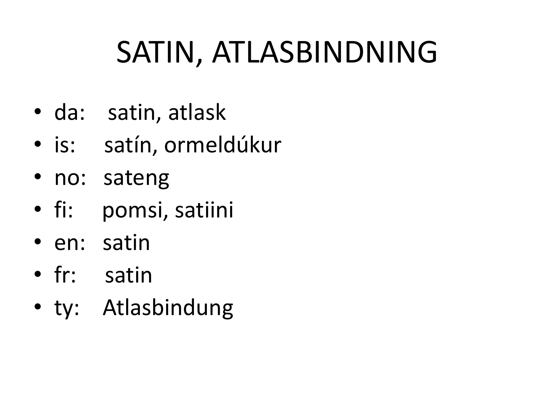# SATIN, ATLASBINDNING

- da: satin, atlask
- is: satín, ormeldúkur
- no: sateng
- fi: pomsi, satiini
- en: satin
- fr: satin
- ty: Atlasbindung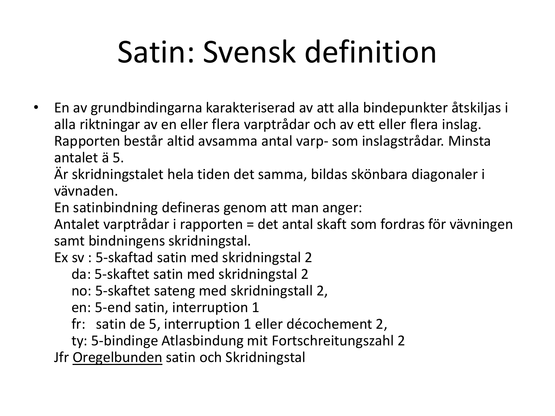# Satin: Svensk definition

• En av grundbindingarna karakteriserad av att alla bindepunkter åtskiljas i alla riktningar av en eller flera varptrådar och av ett eller flera inslag. Rapporten består altid avsamma antal varp- som inslagstrådar. Minsta antalet ä 5.

Är skridningstalet hela tiden det samma, bildas skönbara diagonaler i vävnaden.

En satinbindning defineras genom att man anger:

Antalet varptrådar i rapporten = det antal skaft som fordras för vävningen samt bindningens skridningstal.

Ex sv : 5-skaftad satin med skridningstal 2

da: 5-skaftet satin med skridningstal 2

no: 5-skaftet sateng med skridningstall 2,

en: 5-end satin, interruption 1

fr: satin de 5, interruption 1 eller décochement 2,

ty: 5-bindinge Atlasbindung mit Fortschreitungszahl 2

Jfr Oregelbunden satin och Skridningstal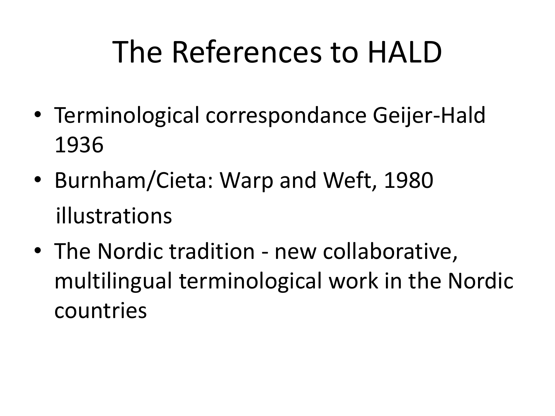## The References to HALD

- Terminological correspondance Geijer-Hald 1936
- Burnham/Cieta: Warp and Weft, 1980 illustrations
- The Nordic tradition new collaborative, multilingual terminological work in the Nordic countries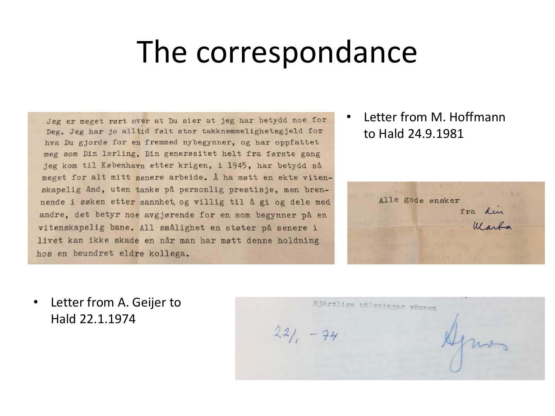#### The correspondance

Jeg er meget rørt over at Du sier at jeg har betydd noe for Deg. Jeg har jo alltid følt stor takknemmelighetsgjeld for hva Du gjorde for en fremmed nybegynner, og har oppfattet meg som Din lærling. Din generøsitet helt fra første gang jeg kom til København etter krigen, i 1945, har betydd så meget for alt mitt senere arbeide. Å ha møtt en ekte vitenskapelig ånd, uten tanke på personlig prestisje, men brennende i søken etter sannhet, og villig til å gi og dele med andre, det betyr noe avgjørende for en som begynner på en vitenskapelig bane. All smålighet en støter på senere i livet kan ikke skade en når man har møtt denne holdning hos en beundret eldre kollega.

• Letter from M. Hoffmann to Hald 24.9.1981



• Letter from A. Geijer to Hald 22.1.1974

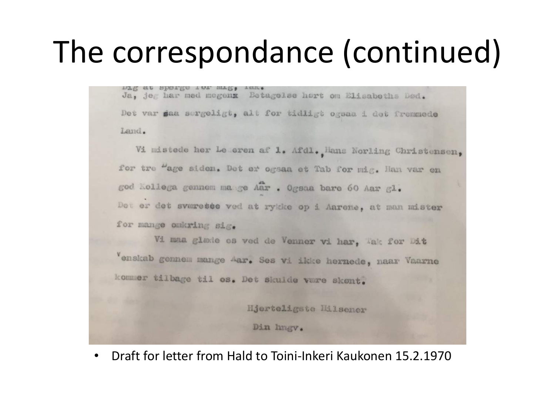### The correspondance (continued)

nTE et abatEs the wre?' rem' Ja, jeg har med megenx Betagelse hart om Elisabeths Bad. Det var saa sergeligt, alt for tidligt ogsaa i det fremmede Land.

Vi mistede her Le eren af 1. Afdl., Hans Norling Christensen, for tre "age siden. Det er ogsaa et Tab for mig. Han var en god Kollega gennem ma ge Aar . Ogsaa bare 60 Aar gl. Det er det sværette ved at rykke op i Aarene, at man mister for mange omkring sig.

Vi maa glaxie os ved de Venner vi har, Tak for Dit Venskab gennem mange Aar. Ses vi ikke hernede, naar Vaarne kommer tilbage til os. Det skulde være skønt.

Hjerteligste Milsener

Din hngv.

• Draft for letter from Hald to Toini-Inkeri Kaukonen 15.2.1970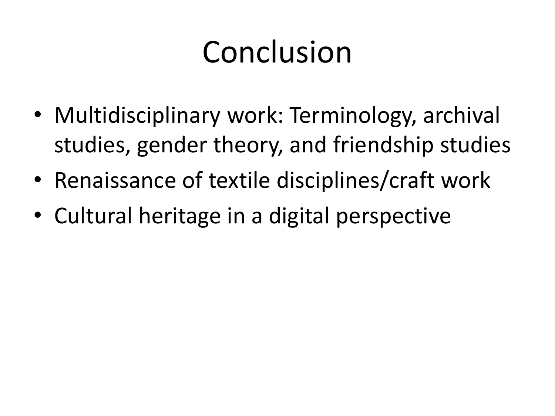# Conclusion

- Multidisciplinary work: Terminology, archival studies, gender theory, and friendship studies
- Renaissance of textile disciplines/craft work
- Cultural heritage in a digital perspective